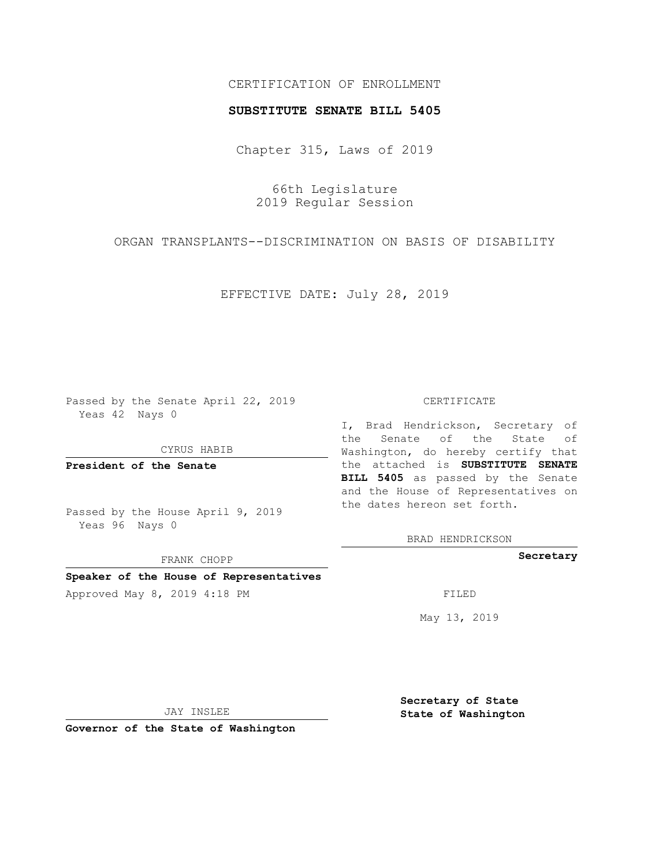## CERTIFICATION OF ENROLLMENT

### **SUBSTITUTE SENATE BILL 5405**

Chapter 315, Laws of 2019

66th Legislature 2019 Regular Session

ORGAN TRANSPLANTS--DISCRIMINATION ON BASIS OF DISABILITY

EFFECTIVE DATE: July 28, 2019

Passed by the Senate April 22, 2019 Yeas 42 Nays 0

CYRUS HABIB

**President of the Senate**

Passed by the House April 9, 2019 Yeas 96 Nays 0

FRANK CHOPP

**Speaker of the House of Representatives**

Approved May 8, 2019 4:18 PM FILED

#### CERTIFICATE

I, Brad Hendrickson, Secretary of the Senate of the State of Washington, do hereby certify that the attached is **SUBSTITUTE SENATE BILL 5405** as passed by the Senate and the House of Representatives on the dates hereon set forth.

BRAD HENDRICKSON

**Secretary**

May 13, 2019

JAY INSLEE

**Governor of the State of Washington**

**Secretary of State State of Washington**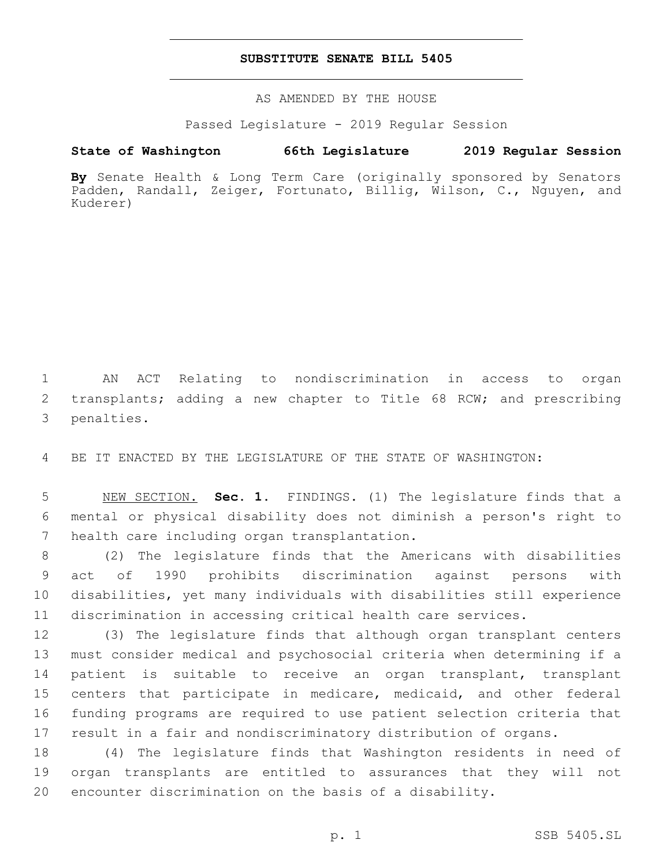## **SUBSTITUTE SENATE BILL 5405**

AS AMENDED BY THE HOUSE

Passed Legislature - 2019 Regular Session

# **State of Washington 66th Legislature 2019 Regular Session**

**By** Senate Health & Long Term Care (originally sponsored by Senators Padden, Randall, Zeiger, Fortunato, Billig, Wilson, C., Nguyen, and Kuderer)

 AN ACT Relating to nondiscrimination in access to organ transplants; adding a new chapter to Title 68 RCW; and prescribing 3 penalties.

BE IT ENACTED BY THE LEGISLATURE OF THE STATE OF WASHINGTON:

 NEW SECTION. **Sec. 1.** FINDINGS. (1) The legislature finds that a mental or physical disability does not diminish a person's right to health care including organ transplantation.

 (2) The legislature finds that the Americans with disabilities act of 1990 prohibits discrimination against persons with disabilities, yet many individuals with disabilities still experience discrimination in accessing critical health care services.

 (3) The legislature finds that although organ transplant centers must consider medical and psychosocial criteria when determining if a patient is suitable to receive an organ transplant, transplant centers that participate in medicare, medicaid, and other federal funding programs are required to use patient selection criteria that result in a fair and nondiscriminatory distribution of organs.

 (4) The legislature finds that Washington residents in need of organ transplants are entitled to assurances that they will not encounter discrimination on the basis of a disability.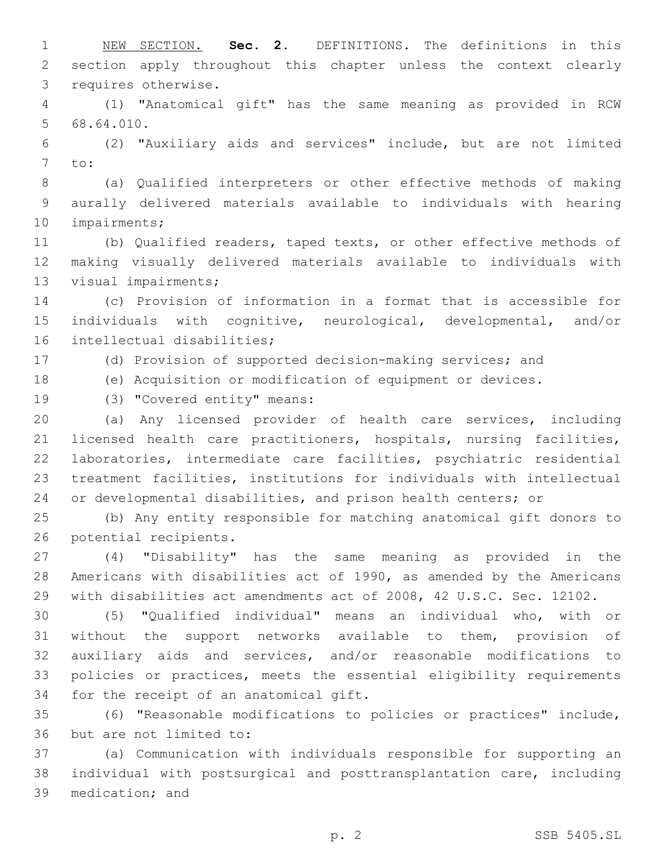NEW SECTION. **Sec. 2.** DEFINITIONS. The definitions in this section apply throughout this chapter unless the context clearly requires otherwise.

 (1) "Anatomical gift" has the same meaning as provided in RCW 5 68.64.010.

 (2) "Auxiliary aids and services" include, but are not limited 7 to:

 (a) Qualified interpreters or other effective methods of making aurally delivered materials available to individuals with hearing 10 impairments;

 (b) Qualified readers, taped texts, or other effective methods of making visually delivered materials available to individuals with 13 visual impairments;

 (c) Provision of information in a format that is accessible for individuals with cognitive, neurological, developmental, and/or 16 intellectual disabilities;

(d) Provision of supported decision-making services; and

(e) Acquisition or modification of equipment or devices.

19 (3) "Covered entity" means:

 (a) Any licensed provider of health care services, including licensed health care practitioners, hospitals, nursing facilities, laboratories, intermediate care facilities, psychiatric residential treatment facilities, institutions for individuals with intellectual or developmental disabilities, and prison health centers; or

 (b) Any entity responsible for matching anatomical gift donors to 26 potential recipients.

 (4) "Disability" has the same meaning as provided in the Americans with disabilities act of 1990, as amended by the Americans with disabilities act amendments act of 2008, 42 U.S.C. Sec. 12102.

 (5) "Qualified individual" means an individual who, with or without the support networks available to them, provision of auxiliary aids and services, and/or reasonable modifications to policies or practices, meets the essential eligibility requirements 34 for the receipt of an anatomical gift.

 (6) "Reasonable modifications to policies or practices" include, 36 but are not limited to:

 (a) Communication with individuals responsible for supporting an individual with postsurgical and posttransplantation care, including 39 medication; and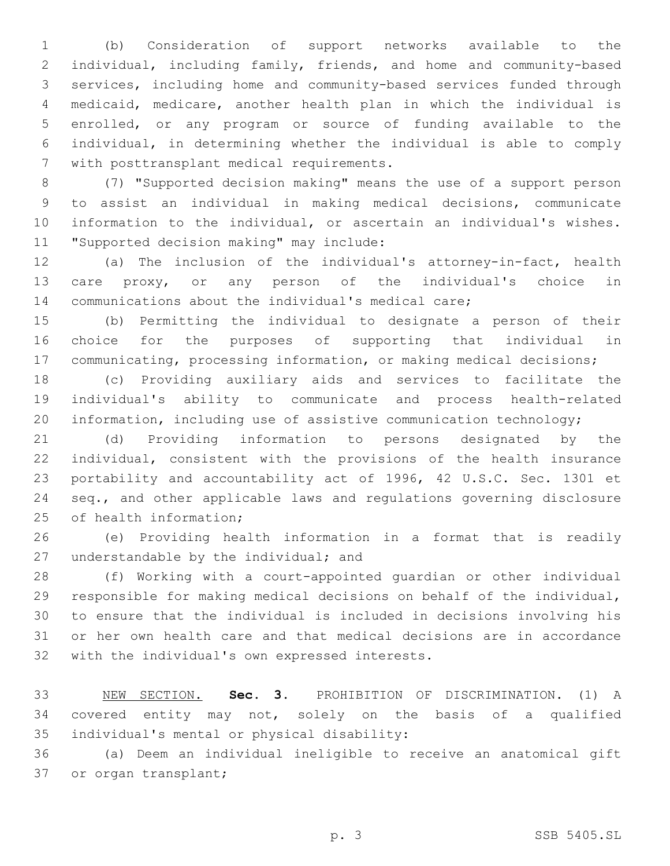(b) Consideration of support networks available to the individual, including family, friends, and home and community-based services, including home and community-based services funded through medicaid, medicare, another health plan in which the individual is enrolled, or any program or source of funding available to the individual, in determining whether the individual is able to comply 7 with posttransplant medical requirements.

 (7) "Supported decision making" means the use of a support person to assist an individual in making medical decisions, communicate information to the individual, or ascertain an individual's wishes. 11 "Supported decision making" may include:

 (a) The inclusion of the individual's attorney-in-fact, health care proxy, or any person of the individual's choice in communications about the individual's medical care;

 (b) Permitting the individual to designate a person of their choice for the purposes of supporting that individual in communicating, processing information, or making medical decisions;

 (c) Providing auxiliary aids and services to facilitate the individual's ability to communicate and process health-related information, including use of assistive communication technology;

 (d) Providing information to persons designated by the individual, consistent with the provisions of the health insurance portability and accountability act of 1996, 42 U.S.C. Sec. 1301 et seq., and other applicable laws and regulations governing disclosure 25 of health information;

 (e) Providing health information in a format that is readily 27 understandable by the individual; and

 (f) Working with a court-appointed guardian or other individual responsible for making medical decisions on behalf of the individual, to ensure that the individual is included in decisions involving his or her own health care and that medical decisions are in accordance 32 with the individual's own expressed interests.

 NEW SECTION. **Sec. 3.** PROHIBITION OF DISCRIMINATION. (1) A covered entity may not, solely on the basis of a qualified individual's mental or physical disability:

 (a) Deem an individual ineligible to receive an anatomical gift 37 or organ transplant;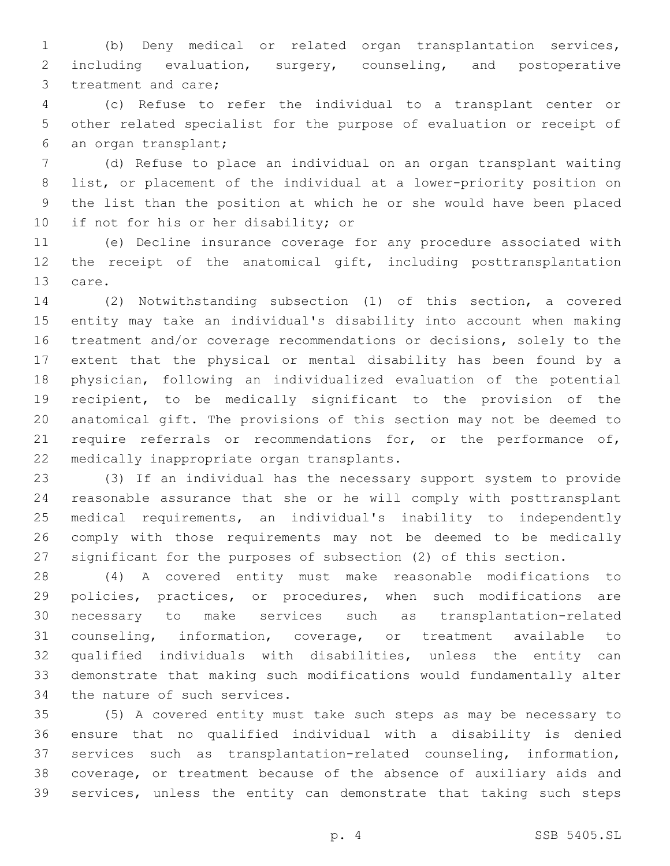(b) Deny medical or related organ transplantation services, including evaluation, surgery, counseling, and postoperative 3 treatment and care;

 (c) Refuse to refer the individual to a transplant center or other related specialist for the purpose of evaluation or receipt of 6 an organ transplant;

 (d) Refuse to place an individual on an organ transplant waiting list, or placement of the individual at a lower-priority position on the list than the position at which he or she would have been placed 10 if not for his or her disability; or

 (e) Decline insurance coverage for any procedure associated with 12 the receipt of the anatomical gift, including posttransplantation 13 care.

 (2) Notwithstanding subsection (1) of this section, a covered entity may take an individual's disability into account when making treatment and/or coverage recommendations or decisions, solely to the extent that the physical or mental disability has been found by a physician, following an individualized evaluation of the potential recipient, to be medically significant to the provision of the anatomical gift. The provisions of this section may not be deemed to 21 require referrals or recommendations for, or the performance of, 22 medically inappropriate organ transplants.

 (3) If an individual has the necessary support system to provide reasonable assurance that she or he will comply with posttransplant medical requirements, an individual's inability to independently comply with those requirements may not be deemed to be medically significant for the purposes of subsection (2) of this section.

 (4) A covered entity must make reasonable modifications to policies, practices, or procedures, when such modifications are necessary to make services such as transplantation-related counseling, information, coverage, or treatment available to qualified individuals with disabilities, unless the entity can demonstrate that making such modifications would fundamentally alter 34 the nature of such services.

 (5) A covered entity must take such steps as may be necessary to ensure that no qualified individual with a disability is denied services such as transplantation-related counseling, information, coverage, or treatment because of the absence of auxiliary aids and services, unless the entity can demonstrate that taking such steps